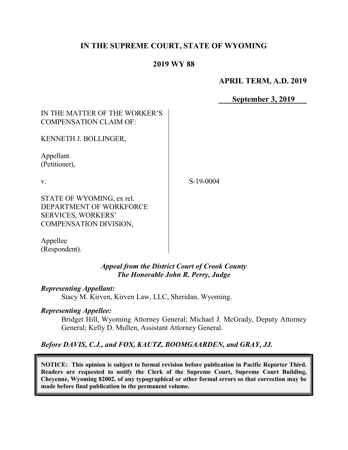# IN THE SUPREME COURT, STATE OF WYOMING

### 2019 WY 88

### APRIL TERM, A.D. 2019

September 3, 2019

## IN THE MATTER OF THE WORKER'S COMPENSATION CLAIM OF:

KENNETH J. BOLLINGER,

Appellant (Petitioner),

v.

S-19-0004

STATE OF WYOMING, ex rel. DEPARTMENT OF WORKFORCE SERVICES, WORKERS' COMPENSATION DIVISION,

Appellee (Respondent).

### Appeal from the District Court of Crook County The Honorable John R. Perry, Judge

#### Representing Appellant:

Stacy M. Kirven, Kirven Law, LLC, Sheridan, Wyoming.

#### Representing Appellee:

Bridget Hill, Wyoming Attorney General; Michael J. McGrady, Deputy Attorney General; Kelly D. Mullen, Assistant Attorney General.

### Before DAVIS, C.J., and FOX, KAUTZ, BOOMGAARDEN, and GRAY, JJ.

NOTICE: This opinion is subject to formal revision before publication in Pacific Reporter Third. Readers are requested to notify the Clerk of the Supreme Court, Supreme Court Building, Cheyenne, Wyoming 82002, of any typographical or other formal errors so that correction may be made before final publication in the permanent volume.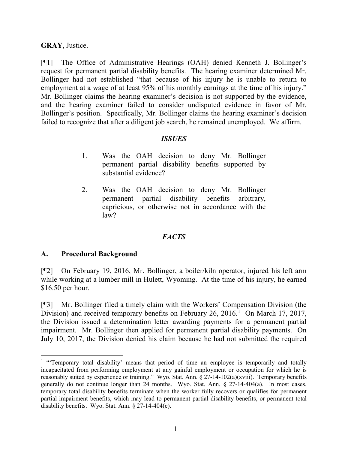#### GRAY, Justice.

[¶1] The Office of Administrative Hearings (OAH) denied Kenneth J. Bollinger's request for permanent partial disability benefits. The hearing examiner determined Mr. Bollinger had not established "that because of his injury he is unable to return to employment at a wage of at least 95% of his monthly earnings at the time of his injury." Mr. Bollinger claims the hearing examiner's decision is not supported by the evidence, and the hearing examiner failed to consider undisputed evidence in favor of Mr. Bollinger's position. Specifically, Mr. Bollinger claims the hearing examiner's decision failed to recognize that after a diligent job search, he remained unemployed. We affirm.

#### **ISSUES**

- 1. Was the OAH decision to deny Mr. Bollinger permanent partial disability benefits supported by substantial evidence?
- 2. Was the OAH decision to deny Mr. Bollinger permanent partial disability benefits arbitrary, capricious, or otherwise not in accordance with the law?

### **FACTS**

#### A. Procedural Background

 $\overline{a}$ 

[¶2] On February 19, 2016, Mr. Bollinger, a boiler/kiln operator, injured his left arm while working at a lumber mill in Hulett, Wyoming. At the time of his injury, he earned \$16.50 per hour.

[¶3] Mr. Bollinger filed a timely claim with the Workers' Compensation Division (the Division) and received temporary benefits on February 26, 2016.<sup>1</sup> On March 17, 2017, the Division issued a determination letter awarding payments for a permanent partial impairment. Mr. Bollinger then applied for permanent partial disability payments. On July 10, 2017, the Division denied his claim because he had not submitted the required

<sup>&</sup>lt;sup>1</sup> "Temporary total disability' means that period of time an employee is temporarily and totally incapacitated from performing employment at any gainful employment or occupation for which he is reasonably suited by experience or training." Wyo. Stat. Ann. § 27-14-102(a)(xviii). Temporary benefits generally do not continue longer than 24 months. Wyo. Stat. Ann. § 27-14-404(a). In most cases, temporary total disability benefits terminate when the worker fully recovers or qualifies for permanent partial impairment benefits, which may lead to permanent partial disability benefits, or permanent total disability benefits. Wyo. Stat. Ann. § 27-14-404(c).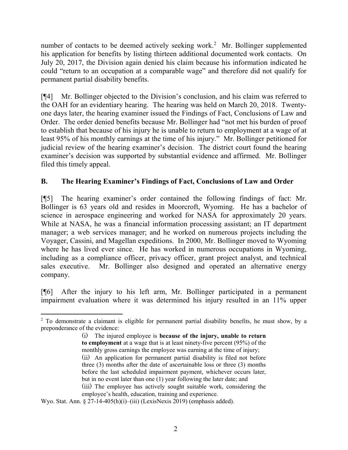number of contacts to be deemed actively seeking work.<sup>2</sup> Mr. Bollinger supplemented his application for benefits by listing thirteen additional documented work contacts. On July 20, 2017, the Division again denied his claim because his information indicated he could "return to an occupation at a comparable wage" and therefore did not qualify for permanent partial disability benefits.

[¶4] Mr. Bollinger objected to the Division's conclusion, and his claim was referred to the OAH for an evidentiary hearing. The hearing was held on March 20, 2018. Twentyone days later, the hearing examiner issued the Findings of Fact, Conclusions of Law and Order. The order denied benefits because Mr. Bollinger had "not met his burden of proof to establish that because of his injury he is unable to return to employment at a wage of at least 95% of his monthly earnings at the time of his injury." Mr. Bollinger petitioned for judicial review of the hearing examiner's decision. The district court found the hearing examiner's decision was supported by substantial evidence and affirmed. Mr. Bollinger filed this timely appeal.

## B. The Hearing Examiner's Findings of Fact, Conclusions of Law and Order

[¶5] The hearing examiner's order contained the following findings of fact: Mr. Bollinger is 63 years old and resides in Moorcroft, Wyoming. He has a bachelor of science in aerospace engineering and worked for NASA for approximately 20 years. While at NASA, he was a financial information processing assistant; an IT department manager; a web services manager; and he worked on numerous projects including the Voyager, Cassini, and Magellan expeditions. In 2000, Mr. Bollinger moved to Wyoming where he has lived ever since. He has worked in numerous occupations in Wyoming, including as a compliance officer, privacy officer, grant project analyst, and technical sales executive. Mr. Bollinger also designed and operated an alternative energy company.

[¶6] After the injury to his left arm, Mr. Bollinger participated in a permanent impairment evaluation where it was determined his injury resulted in an 11% upper

Wyo. Stat. Ann.  $\S 27$ -14-405(h)(i)–(iii) (LexisNexis 2019) (emphasis added).

 $\overline{a}$ 

<sup>&</sup>lt;sup>2</sup> To demonstrate a claimant is eligible for permanent partial disability benefits, he must show, by a preponderance of the evidence:

<sup>(</sup>i) The injured employee is because of the injury, unable to return to employment at a wage that is at least ninety-five percent (95%) of the monthly gross earnings the employee was earning at the time of injury; (ii) An application for permanent partial disability is filed not before three (3) months after the date of ascertainable loss or three (3) months before the last scheduled impairment payment, whichever occurs later, but in no event later than one (1) year following the later date; and (iii) The employee has actively sought suitable work, considering the employee's health, education, training and experience.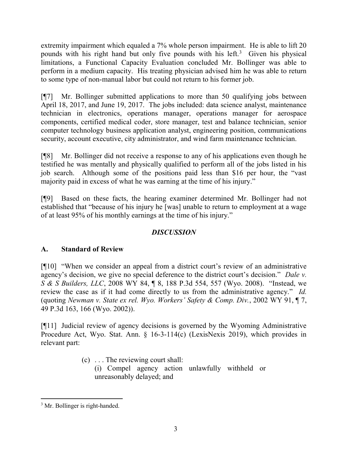extremity impairment which equaled a 7% whole person impairment. He is able to lift 20 pounds with his right hand but only five pounds with his left.<sup>3</sup> Given his physical limitations, a Functional Capacity Evaluation concluded Mr. Bollinger was able to perform in a medium capacity. His treating physician advised him he was able to return to some type of non-manual labor but could not return to his former job.

[¶7] Mr. Bollinger submitted applications to more than 50 qualifying jobs between April 18, 2017, and June 19, 2017. The jobs included: data science analyst, maintenance technician in electronics, operations manager, operations manager for aerospace components, certified medical coder, store manager, test and balance technician, senior computer technology business application analyst, engineering position, communications security, account executive, city administrator, and wind farm maintenance technician.

[¶8] Mr. Bollinger did not receive a response to any of his applications even though he testified he was mentally and physically qualified to perform all of the jobs listed in his job search. Although some of the positions paid less than \$16 per hour, the "vast majority paid in excess of what he was earning at the time of his injury."

[¶9] Based on these facts, the hearing examiner determined Mr. Bollinger had not established that "because of his injury he [was] unable to return to employment at a wage of at least 95% of his monthly earnings at the time of his injury."

# **DISCUSSION**

# A. Standard of Review

[¶10] "When we consider an appeal from a district court's review of an administrative agency's decision, we give no special deference to the district court's decision." Dale v. S & S Builders, LLC, 2008 WY 84, ¶ 8, 188 P.3d 554, 557 (Wyo. 2008). "Instead, we review the case as if it had come directly to us from the administrative agency." Id. (quoting Newman v. State ex rel. Wyo. Workers' Safety & Comp. Div., 2002 WY 91, ¶ 7, 49 P.3d 163, 166 (Wyo. 2002)).

[¶11] Judicial review of agency decisions is governed by the Wyoming Administrative Procedure Act, Wyo. Stat. Ann. § 16-3-114(c) (LexisNexis 2019), which provides in relevant part:

- (c) . . . The reviewing court shall:
	- (i) Compel agency action unlawfully withheld or unreasonably delayed; and

 $\overline{a}$ <sup>3</sup> Mr. Bollinger is right-handed.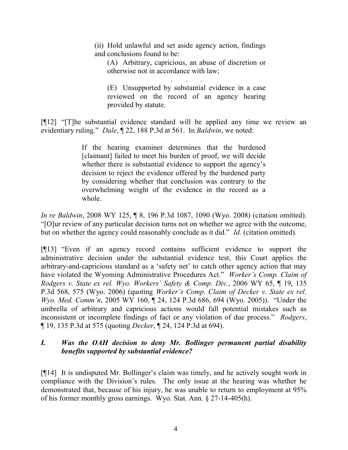(ii) Hold unlawful and set aside agency action, findings and conclusions found to be:

(A) Arbitrary, capricious, an abuse of discretion or otherwise not in accordance with law;

. . . . (E) Unsupported by substantial evidence in a case reviewed on the record of an agency hearing provided by statute.

[¶12] "[T]he substantial evidence standard will be applied any time we review an evidentiary ruling." Dale,  $\sqrt{22}$ , 188 P.3d at 561. In *Baldwin*, we noted:

> If the hearing examiner determines that the burdened [claimant] failed to meet his burden of proof, we will decide whether there is substantial evidence to support the agency's decision to reject the evidence offered by the burdened party by considering whether that conclusion was contrary to the overwhelming weight of the evidence in the record as a whole.

In re Baldwin, 2008 WY 125, ¶ 8, 196 P.3d 1087, 1090 (Wyo. 2008) (citation omitted). "[O]ur review of any particular decision turns not on whether we agree with the outcome, but on whether the agency could reasonably conclude as it did." *Id.* (citation omitted).

[¶13] "Even if an agency record contains sufficient evidence to support the administrative decision under the substantial evidence test, this Court applies the arbitrary-and-capricious standard as a 'safety net' to catch other agency action that may have violated the Wyoming Administrative Procedures Act." Worker's Comp. Claim of Rodgers v. State ex rel. Wyo. Workers' Safety & Comp. Div., 2006 WY 65, ¶ 19, 135 P.3d 568, 575 (Wyo. 2006) (quoting Worker's Comp. Claim of Decker v. State ex rel. Wyo. Med. Comm'n, 2005 WY 160, ¶ 24, 124 P.3d 686, 694 (Wyo. 2005)). "Under the umbrella of arbitrary and capricious actions would fall potential mistakes such as inconsistent or incomplete findings of fact or any violation of due process." Rodgers, ¶ 19, 135 P.3d at 575 (quoting Decker, ¶ 24, 124 P.3d at 694).

# I. Was the OAH decision to deny Mr. Bollinger permanent partial disability benefits supported by substantial evidence?

[¶14] It is undisputed Mr. Bollinger's claim was timely, and he actively sought work in compliance with the Division's rules. The only issue at the hearing was whether he demonstrated that, because of his injury, he was unable to return to employment at 95% of his former monthly gross earnings. Wyo. Stat. Ann. § 27-14-405(h).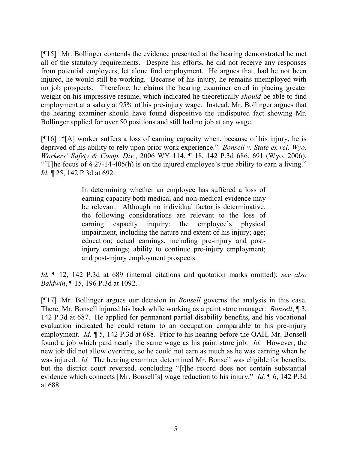[¶15] Mr. Bollinger contends the evidence presented at the hearing demonstrated he met all of the statutory requirements. Despite his efforts, he did not receive any responses from potential employers, let alone find employment. He argues that, had he not been injured, he would still be working. Because of his injury, he remains unemployed with no job prospects. Therefore, he claims the hearing examiner erred in placing greater weight on his impressive resume, which indicated he theoretically *should* be able to find employment at a salary at 95% of his pre-injury wage. Instead, Mr. Bollinger argues that the hearing examiner should have found dispositive the undisputed fact showing Mr. Bollinger applied for over 50 positions and still had no job at any wage.

[¶16] "[A] worker suffers a loss of earning capacity when, because of his injury, he is deprived of his ability to rely upon prior work experience." Bonsell v. State ex rel. Wyo. Workers' Safety & Comp. Div., 2006 WY 114, ¶ 18, 142 P.3d 686, 691 (Wyo. 2006). "[T]he focus of § 27-14-405(h) is on the injured employee's true ability to earn a living." Id. ¶ 25, 142 P.3d at 692.

> In determining whether an employee has suffered a loss of earning capacity both medical and non-medical evidence may be relevant. Although no individual factor is determinative, the following considerations are relevant to the loss of earning capacity inquiry: the employee's physical impairment, including the nature and extent of his injury; age; education; actual earnings, including pre-injury and postinjury earnings; ability to continue pre-injury employment; and post-injury employment prospects.

Id.  $\parallel$  12, 142 P.3d at 689 (internal citations and quotation marks omitted); see also Baldwin, ¶ 15, 196 P.3d at 1092.

[¶17] Mr. Bollinger argues our decision in Bonsell governs the analysis in this case. There, Mr. Bonsell injured his back while working as a paint store manager. *Bonsell*, 13, 142 P.3d at 687. He applied for permanent partial disability benefits, and his vocational evaluation indicated he could return to an occupation comparable to his pre-injury employment. *Id.*  $\parallel$  5, 142 P.3d at 688. Prior to his hearing before the OAH, Mr. Bonsell found a job which paid nearly the same wage as his paint store job. Id. However, the new job did not allow overtime, so he could not earn as much as he was earning when he was injured. *Id.* The hearing examiner determined Mr. Bonsell was eligible for benefits, but the district court reversed, concluding "[t]he record does not contain substantial evidence which connects [Mr. Bonsell's] wage reduction to his injury." *Id.* 16, 142 P.3d at 688.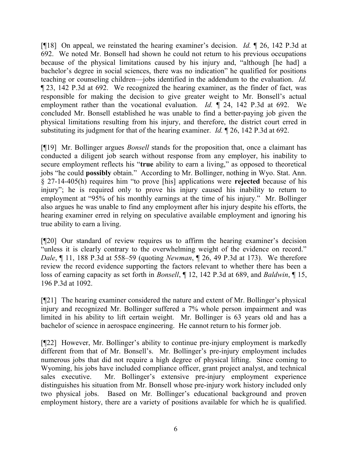[¶18] On appeal, we reinstated the hearing examiner's decision. Id. ¶ 26, 142 P.3d at 692. We noted Mr. Bonsell had shown he could not return to his previous occupations because of the physical limitations caused by his injury and, "although [he had] a bachelor's degree in social sciences, there was no indication" he qualified for positions teaching or counseling children—jobs identified in the addendum to the evaluation. Id. ¶ 23, 142 P.3d at 692. We recognized the hearing examiner, as the finder of fact, was responsible for making the decision to give greater weight to Mr. Bonsell's actual employment rather than the vocational evaluation. Id.  $\parallel$  24, 142 P.3d at 692. We concluded Mr. Bonsell established he was unable to find a better-paying job given the physical limitations resulting from his injury, and therefore, the district court erred in substituting its judgment for that of the hearing examiner. *Id.* 126, 142 P.3d at 692.

[¶19] Mr. Bollinger argues Bonsell stands for the proposition that, once a claimant has conducted a diligent job search without response from any employer, his inability to secure employment reflects his "true ability to earn a living," as opposed to theoretical jobs "he could possibly obtain." According to Mr. Bollinger, nothing in Wyo. Stat. Ann. § 27-14-405(h) requires him "to prove [his] applications were rejected because of his injury"; he is required only to prove his injury caused his inability to return to employment at "95% of his monthly earnings at the time of his injury." Mr. Bollinger also argues he was unable to find any employment after his injury despite his efforts, the hearing examiner erred in relying on speculative available employment and ignoring his true ability to earn a living.

[¶20] Our standard of review requires us to affirm the hearing examiner's decision "unless it is clearly contrary to the overwhelming weight of the evidence on record." Dale, ¶ 11, 188 P.3d at 558–59 (quoting Newman, ¶ 26, 49 P.3d at 173). We therefore review the record evidence supporting the factors relevant to whether there has been a loss of earning capacity as set forth in *Bonsell*,  $\P$  12, 142 P.3d at 689, and *Baldwin*,  $\P$  15, 196 P.3d at 1092.

[¶21] The hearing examiner considered the nature and extent of Mr. Bollinger's physical injury and recognized Mr. Bollinger suffered a 7% whole person impairment and was limited in his ability to lift certain weight. Mr. Bollinger is 63 years old and has a bachelor of science in aerospace engineering. He cannot return to his former job.

[¶22] However, Mr. Bollinger's ability to continue pre-injury employment is markedly different from that of Mr. Bonsell's. Mr. Bollinger's pre-injury employment includes numerous jobs that did not require a high degree of physical lifting. Since coming to Wyoming, his jobs have included compliance officer, grant project analyst, and technical sales executive. Mr. Bollinger's extensive pre-injury employment experience distinguishes his situation from Mr. Bonsell whose pre-injury work history included only two physical jobs. Based on Mr. Bollinger's educational background and proven employment history, there are a variety of positions available for which he is qualified.